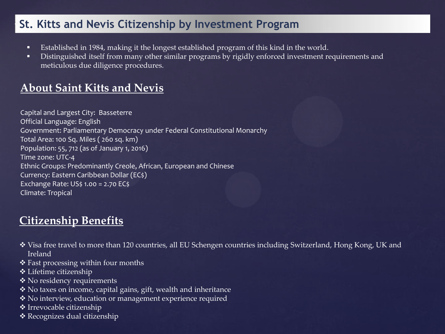#### **St. Kitts and Nevis Citizenship by Investment Program**

- Established in 1984, making it the longest established program of this kind in the world.
- Distinguished itself from many other similar programs by rigidly enforced investment requirements and meticulous due diligence procedures.

## **About Saint Kitts and Nevis**

```
Capital and Largest City: Basseterre
Official Language: English
Government: Parliamentary Democracy under Federal Constitutional Monarchy
Total Area: 100 Sq. Miles ( 260 sq. km)
Population: 55, 712 (as of January 1, 2016)
Time zone: UTC-4
Ethnic Groups: Predominantly Creole, African, European and Chinese
Currency: Eastern Caribbean Dollar (EC$)
Exchange Rate: US$ 1.00 = 2.70 EC$
Climate: Tropical
```
## **Citizenship Benefits**

- Visa free travel to more than 120 countries, all EU Schengen countries including Switzerland, Hong Kong, UK and Ireland
- Fast processing within four months
- Lifetime citizenship
- ◆ No residency requirements
- No taxes on income, capital gains, gift, wealth and inheritance
- No interview, education or management experience required
- Irrevocable citizenship
- Recognizes dual citizenship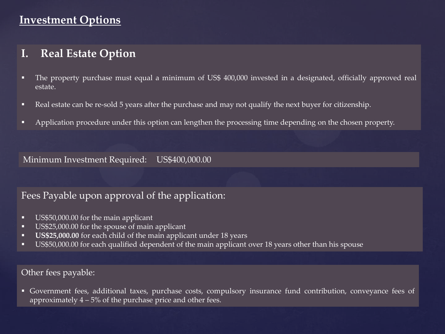## **Investment Options**

#### **I. Real Estate Option**

- The property purchase must equal a minimum of US\$ 400,000 invested in a designated, officially approved real estate.
- Real estate can be re-sold 5 years after the purchase and may not qualify the next buyer for citizenship.
- Application procedure under this option can lengthen the processing time depending on the chosen property.

Minimum Investment Required: US\$400,000.00

#### Fees Payable upon approval of the application:

- US\$50,000.00 for the main applicant
- US\$25,000.00 for the spouse of main applicant
- **US\$25,000.00** for each child of the main applicant under 18 years
- US\$50,000.00 for each qualified dependent of the main applicant over 18 years other than his spouse

#### Other fees payable:

 Government fees, additional taxes, purchase costs, compulsory insurance fund contribution, conveyance fees of approximately  $4 - 5\%$  of the purchase price and other fees.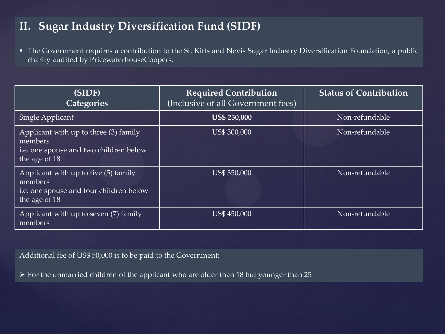# **II. Sugar Industry Diversification Fund (SIDF)**

 The Government requires a contribution to the St. Kitts and Nevis Sugar Industry Diversification Foundation, a public charity audited by PricewaterhouseCoopers.

| (SIDF)<br><b>Categories</b>                                                                                 | <b>Required Contribution</b><br>(Inclusive of all Government fees) | <b>Status of Contribution</b> |
|-------------------------------------------------------------------------------------------------------------|--------------------------------------------------------------------|-------------------------------|
| Single Applicant                                                                                            | <b>US\$ 250,000</b>                                                | Non-refundable                |
| Applicant with up to three (3) family<br>members<br>i.e. one spouse and two children below<br>the age of 18 | <b>US\$ 300,000</b>                                                | Non-refundable                |
| Applicant with up to five (5) family<br>members<br>i.e. one spouse and four children below<br>the age of 18 | US\$ 350,000                                                       | Non-refundable                |
| Applicant with up to seven (7) family<br>members                                                            | US\$ 450,000                                                       | Non-refundable                |

Additional fee of US\$ 50,000 is to be paid to the Government:

For the unmarried children of the applicant who are older than 18 but younger than 25